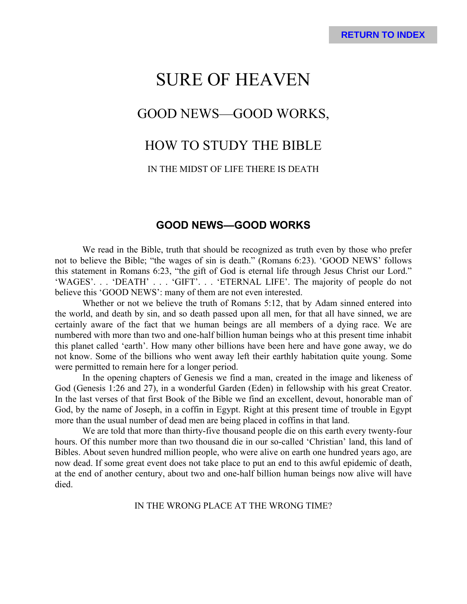# SURE OF HEAVEN GOOD NEWS—GOOD WORKS, HOW TO STUDY THE BIBLE

# IN THE MIDST OF LIFE THERE IS DEATH

# **GOOD NEWS—GOOD WORKS**

We read in the Bible, truth that should be recognized as truth even by those who prefer not to believe the Bible; "the wages of sin is death." (Romans 6:23). 'GOOD NEWS' follows this statement in Romans 6:23, "the gift of God is eternal life through Jesus Christ our Lord." 'WAGES'. . . 'DEATH' . . . 'GIFT'. . . 'ETERNAL LIFE'. The majority of people do not believe this 'GOOD NEWS': many of them are not even interested.

Whether or not we believe the truth of Romans 5:12, that by Adam sinned entered into the world, and death by sin, and so death passed upon all men, for that all have sinned, we are certainly aware of the fact that we human beings are all members of a dying race. We are numbered with more than two and one-half billion human beings who at this present time inhabit this planet called 'earth'. How many other billions have been here and have gone away, we do not know. Some of the billions who went away left their earthly habitation quite young. Some were permitted to remain here for a longer period.

In the opening chapters of Genesis we find a man, created in the image and likeness of God (Genesis 1:26 and 27), in a wonderful Garden (Eden) in fellowship with his great Creator. In the last verses of that first Book of the Bible we find an excellent, devout, honorable man of God, by the name of Joseph, in a coffin in Egypt. Right at this present time of trouble in Egypt more than the usual number of dead men are being placed in coffins in that land.

We are told that more than thirty-five thousand people die on this earth every twenty-four hours. Of this number more than two thousand die in our so-called 'Christian' land, this land of Bibles. About seven hundred million people, who were alive on earth one hundred years ago, are now dead. If some great event does not take place to put an end to this awful epidemic of death, at the end of another century, about two and one-half billion human beings now alive will have died.

IN THE WRONG PLACE AT THE WRONG TIME?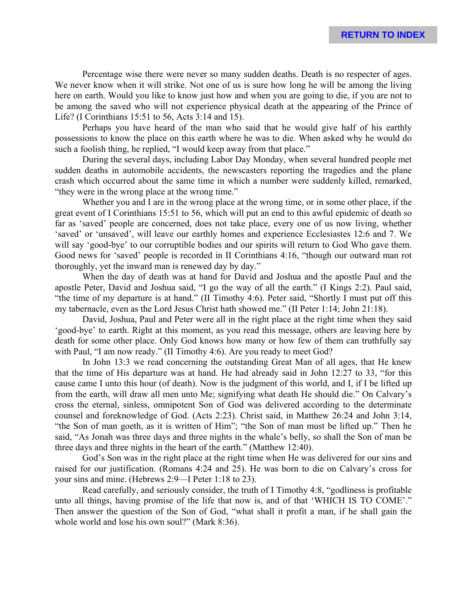Percentage wise there were never so many sudden deaths. Death is no respecter of ages. We never know when it will strike. Not one of us is sure how long he will be among the living here on earth. Would you like to know just how and when you are going to die, if you are not to be among the saved who will not experience physical death at the appearing of the Prince of Life? (I Corinthians 15:51 to 56, Acts 3:14 and 15).

Perhaps you have heard of the man who said that he would give half of his earthly possessions to know the place on this earth where he was to die. When asked why he would do such a foolish thing, he replied, "I would keep away from that place."

During the several days, including Labor Day Monday, when several hundred people met sudden deaths in automobile accidents, the newscasters reporting the tragedies and the plane crash which occurred about the same time in which a number were suddenly killed, remarked, "they were in the wrong place at the wrong time."

Whether you and I are in the wrong place at the wrong time, or in some other place, if the great event of I Corinthians 15:51 to 56, which will put an end to this awful epidemic of death so far as 'saved' people are concerned, does not take place, every one of us now living, whether 'saved' or 'unsaved', will leave our earthly homes and experience Ecclesiastes 12:6 and 7. We will say 'good-bye' to our corruptible bodies and our spirits will return to God Who gave them. Good news for 'saved' people is recorded in II Corinthians 4:16, "though our outward man rot thoroughly, yet the inward man is renewed day by day."

When the day of death was at hand for David and Joshua and the apostle Paul and the apostle Peter, David and Joshua said, "I go the way of all the earth." (I Kings 2:2). Paul said, "the time of my departure is at hand." (II Timothy 4:6). Peter said, "Shortly I must put off this my tabernacle, even as the Lord Jesus Christ hath showed me." (II Peter 1:14; John 21:18).

David, Joshua, Paul and Peter were all in the right place at the right time when they said 'good-bye' to earth. Right at this moment, as you read this message, others are leaving here by death for some other place. Only God knows how many or how few of them can truthfully say with Paul, "I am now ready." (II Timothy 4:6). Are you ready to meet God?

In John 13:3 we read concerning the outstanding Great Man of all ages, that He knew that the time of His departure was at hand. He had already said in John 12:27 to 33, "for this cause came I unto this hour (of death). Now is the judgment of this world, and I, if I be lifted up from the earth, will draw all men unto Me; signifying what death He should die." On Calvary's cross the eternal, sinless, omnipotent Son of God was delivered according to the determinate counsel and foreknowledge of God. (Acts 2:23). Christ said, in Matthew 26:24 and John 3:14, "the Son of man goeth, as it is written of Him"; "the Son of man must be lifted up." Then he said, "As Jonah was three days and three nights in the whale's belly, so shall the Son of man be three days and three nights in the heart of the earth." (Matthew 12:40).

God's Son was in the right place at the right time when He was delivered for our sins and raised for our justification. (Romans 4:24 and 25). He was born to die on Calvary's cross for your sins and mine. (Hebrews 2:9—I Peter 1:18 to 23).

Read carefully, and seriously consider, the truth of I Timothy 4:8, "godliness is profitable unto all things, having promise of the life that now is, and of that 'WHICH IS TO COME'." Then answer the question of the Son of God, "what shall it profit a man, if he shall gain the whole world and lose his own soul?" (Mark 8:36).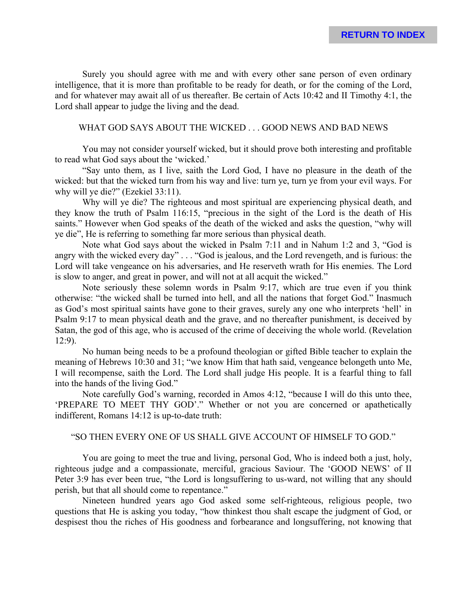Surely you should agree with me and with every other sane person of even ordinary intelligence, that it is more than profitable to be ready for death, or for the coming of the Lord, and for whatever may await all of us thereafter. Be certain of Acts 10:42 and II Timothy 4:1, the Lord shall appear to judge the living and the dead.

# WHAT GOD SAYS ABOUT THE WICKED . . . GOOD NEWS AND BAD NEWS

You may not consider yourself wicked, but it should prove both interesting and profitable to read what God says about the 'wicked.'

"Say unto them, as I live, saith the Lord God, I have no pleasure in the death of the wicked: but that the wicked turn from his way and live: turn ye, turn ye from your evil ways. For why will ye die?" (Ezekiel 33:11).

Why will ye die? The righteous and most spiritual are experiencing physical death, and they know the truth of Psalm 116:15, "precious in the sight of the Lord is the death of His saints." However when God speaks of the death of the wicked and asks the question, "why will ye die", He is referring to something far more serious than physical death.

Note what God says about the wicked in Psalm 7:11 and in Nahum 1:2 and 3, "God is angry with the wicked every day" . . . "God is jealous, and the Lord revengeth, and is furious: the Lord will take vengeance on his adversaries, and He reserveth wrath for His enemies. The Lord is slow to anger, and great in power, and will not at all acquit the wicked."

Note seriously these solemn words in Psalm 9:17, which are true even if you think otherwise: "the wicked shall be turned into hell, and all the nations that forget God." Inasmuch as God's most spiritual saints have gone to their graves, surely any one who interprets 'hell' in Psalm 9:17 to mean physical death and the grave, and no thereafter punishment, is deceived by Satan, the god of this age, who is accused of the crime of deceiving the whole world. (Revelation 12:9).

No human being needs to be a profound theologian or gifted Bible teacher to explain the meaning of Hebrews 10:30 and 31; "we know Him that hath said, vengeance belongeth unto Me, I will recompense, saith the Lord. The Lord shall judge His people. It is a fearful thing to fall into the hands of the living God."

Note carefully God's warning, recorded in Amos 4:12, "because I will do this unto thee, 'PREPARE TO MEET THY GOD'." Whether or not you are concerned or apathetically indifferent, Romans 14:12 is up-to-date truth:

#### "SO THEN EVERY ONE OF US SHALL GIVE ACCOUNT OF HIMSELF TO GOD."

You are going to meet the true and living, personal God, Who is indeed both a just, holy, righteous judge and a compassionate, merciful, gracious Saviour. The 'GOOD NEWS' of II Peter 3:9 has ever been true, "the Lord is longsuffering to us-ward, not willing that any should perish, but that all should come to repentance."

Nineteen hundred years ago God asked some self-righteous, religious people, two questions that He is asking you today, "how thinkest thou shalt escape the judgment of God, or despisest thou the riches of His goodness and forbearance and longsuffering, not knowing that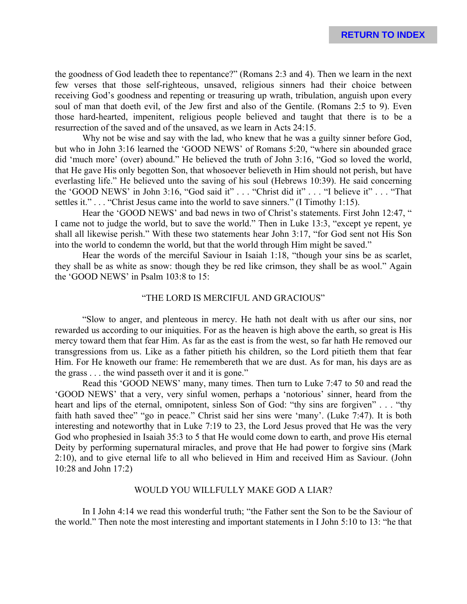the goodness of God leadeth thee to repentance?" (Romans 2:3 and 4). Then we learn in the next few verses that those self-righteous, unsaved, religious sinners had their choice between receiving God's goodness and repenting or treasuring up wrath, tribulation, anguish upon every soul of man that doeth evil, of the Jew first and also of the Gentile. (Romans 2:5 to 9). Even those hard-hearted, impenitent, religious people believed and taught that there is to be a resurrection of the saved and of the unsaved, as we learn in Acts 24:15.

Why not be wise and say with the lad, who knew that he was a guilty sinner before God, but who in John 3:16 learned the 'GOOD NEWS' of Romans 5:20, "where sin abounded grace did 'much more' (over) abound." He believed the truth of John 3:16, "God so loved the world, that He gave His only begotten Son, that whosoever believeth in Him should not perish, but have everlasting life." He believed unto the saving of his soul (Hebrews 10:39). He said concerning the 'GOOD NEWS' in John 3:16, "God said it" . . . "Christ did it" . . . "I believe it" . . . "That settles it." . . . "Christ Jesus came into the world to save sinners." (I Timothy 1:15).

Hear the 'GOOD NEWS' and bad news in two of Christ's statements. First John 12:47, " I came not to judge the world, but to save the world." Then in Luke 13:3, "except ye repent, ye shall all likewise perish." With these two statements hear John 3:17, "for God sent not His Son into the world to condemn the world, but that the world through Him might be saved."

Hear the words of the merciful Saviour in Isaiah 1:18, "though your sins be as scarlet, they shall be as white as snow: though they be red like crimson, they shall be as wool." Again the 'GOOD NEWS' in Psalm 103:8 to 15:

### "THE LORD IS MERCIFUL AND GRACIOUS"

"Slow to anger, and plenteous in mercy. He hath not dealt with us after our sins, nor rewarded us according to our iniquities. For as the heaven is high above the earth, so great is His mercy toward them that fear Him. As far as the east is from the west, so far hath He removed our transgressions from us. Like as a father pitieth his children, so the Lord pitieth them that fear Him. For He knoweth our frame: He remembereth that we are dust. As for man, his days are as the grass . . . the wind passeth over it and it is gone."

Read this 'GOOD NEWS' many, many times. Then turn to Luke 7:47 to 50 and read the 'GOOD NEWS' that a very, very sinful women, perhaps a 'notorious' sinner, heard from the heart and lips of the eternal, omnipotent, sinless Son of God: "thy sins are forgiven" . . . "thy faith hath saved thee" "go in peace." Christ said her sins were 'many'. (Luke 7:47). It is both interesting and noteworthy that in Luke 7:19 to 23, the Lord Jesus proved that He was the very God who prophesied in Isaiah 35:3 to 5 that He would come down to earth, and prove His eternal Deity by performing supernatural miracles, and prove that He had power to forgive sins (Mark 2:10), and to give eternal life to all who believed in Him and received Him as Saviour. (John 10:28 and John 17:2)

#### WOULD YOU WILLFULLY MAKE GOD A LIAR?

In I John 4:14 we read this wonderful truth; "the Father sent the Son to be the Saviour of the world." Then note the most interesting and important statements in I John 5:10 to 13: "he that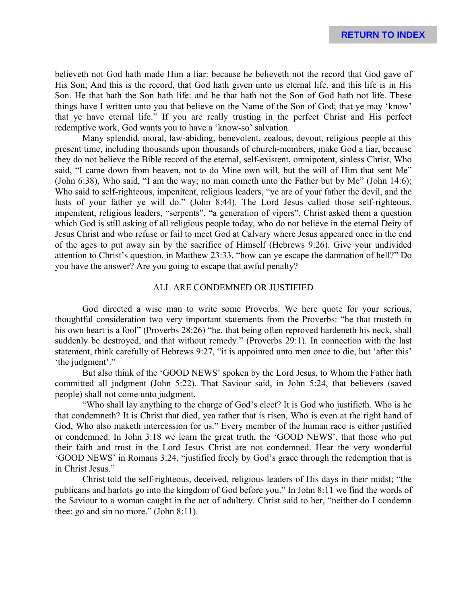believeth not God hath made Him a liar: because he believeth not the record that God gave of His Son; And this is the record, that God hath given unto us eternal life, and this life is in His Son. He that hath the Son hath life: and he that hath not the Son of God hath not life. These things have I written unto you that believe on the Name of the Son of God; that ye may 'know' that ye have eternal life." If you are really trusting in the perfect Christ and His perfect redemptive work, God wants you to have a 'know-so' salvation.

Many splendid, moral, law-abiding, benevolent, zealous, devout, religious people at this present time, including thousands upon thousands of church-members, make God a liar, because they do not believe the Bible record of the eternal, self-existent, omnipotent, sinless Christ, Who said, "I came down from heaven, not to do Mine own will, but the will of Him that sent Me" (John 6:38), Who said, "I am the way; no man cometh unto the Father but by Me" (John 14:6); Who said to self-righteous, impenitent, religious leaders, "ye are of your father the devil, and the lusts of your father ye will do." (John 8:44). The Lord Jesus called those self-righteous, impenitent, religious leaders, "serpents", "a generation of vipers". Christ asked them a question which God is still asking of all religious people today, who do not believe in the eternal Deity of Jesus Christ and who refuse or fail to meet God at Calvary where Jesus appeared once in the end of the ages to put away sin by the sacrifice of Himself (Hebrews 9:26). Give your undivided attention to Christ's question, in Matthew 23:33, "how can ye escape the damnation of hell?" Do you have the answer? Are you going to escape that awful penalty?

#### ALL ARE CONDEMNED OR JUSTIFIED

God directed a wise man to write some Proverbs. We here quote for your serious, thoughtful consideration two very important statements from the Proverbs: "he that trusteth in his own heart is a fool" (Proverbs 28:26) "he, that being often reproved hardeneth his neck, shall suddenly be destroyed, and that without remedy." (Proverbs 29:1). In connection with the last statement, think carefully of Hebrews 9:27, "it is appointed unto men once to die, but 'after this' 'the judgment'."

But also think of the 'GOOD NEWS' spoken by the Lord Jesus, to Whom the Father hath committed all judgment (John 5:22). That Saviour said, in John 5:24, that believers (saved people) shall not come unto judgment.

"Who shall lay anything to the charge of God's elect? It is God who justifieth. Who is he that condemneth? It is Christ that died, yea rather that is risen, Who is even at the right hand of God, Who also maketh intercession for us." Every member of the human race is either justified or condemned. In John 3:18 we learn the great truth, the 'GOOD NEWS', that those who put their faith and trust in the Lord Jesus Christ are not condemned. Hear the very wonderful 'GOOD NEWS' in Romans 3:24, "justified freely by God's grace through the redemption that is in Christ Jesus."

Christ told the self-righteous, deceived, religious leaders of His days in their midst; "the publicans and harlots go into the kingdom of God before you." In John 8:11 we find the words of the Saviour to a woman caught in the act of adultery. Christ said to her, "neither do I condemn thee: go and sin no more." (John 8:11).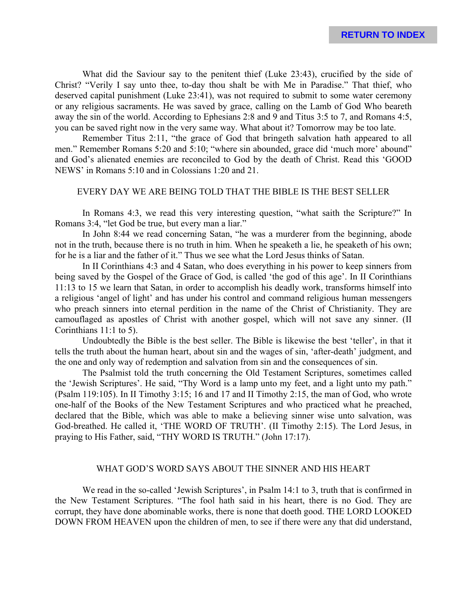What did the Saviour say to the penitent thief (Luke 23:43), crucified by the side of Christ? "Verily I say unto thee, to-day thou shalt be with Me in Paradise." That thief, who deserved capital punishment (Luke 23:41), was not required to submit to some water ceremony or any religious sacraments. He was saved by grace, calling on the Lamb of God Who beareth away the sin of the world. According to Ephesians 2:8 and 9 and Titus 3:5 to 7, and Romans 4:5, you can be saved right now in the very same way. What about it? Tomorrow may be too late.

Remember Titus 2:11, "the grace of God that bringeth salvation hath appeared to all men." Remember Romans 5:20 and 5:10; "where sin abounded, grace did 'much more' abound" and God's alienated enemies are reconciled to God by the death of Christ. Read this 'GOOD NEWS' in Romans 5:10 and in Colossians 1:20 and 21.

### EVERY DAY WE ARE BEING TOLD THAT THE BIBLE IS THE BEST SELLER

In Romans 4:3, we read this very interesting question, "what saith the Scripture?" In Romans 3:4, "let God be true, but every man a liar."

In John 8:44 we read concerning Satan, "he was a murderer from the beginning, abode not in the truth, because there is no truth in him. When he speaketh a lie, he speaketh of his own; for he is a liar and the father of it." Thus we see what the Lord Jesus thinks of Satan.

In II Corinthians 4:3 and 4 Satan, who does everything in his power to keep sinners from being saved by the Gospel of the Grace of God, is called 'the god of this age'. In II Corinthians 11:13 to 15 we learn that Satan, in order to accomplish his deadly work, transforms himself into a religious 'angel of light' and has under his control and command religious human messengers who preach sinners into eternal perdition in the name of the Christ of Christianity. They are camouflaged as apostles of Christ with another gospel, which will not save any sinner. (II Corinthians 11:1 to 5).

Undoubtedly the Bible is the best seller. The Bible is likewise the best 'teller', in that it tells the truth about the human heart, about sin and the wages of sin, 'after-death' judgment, and the one and only way of redemption and salvation from sin and the consequences of sin.

The Psalmist told the truth concerning the Old Testament Scriptures, sometimes called the 'Jewish Scriptures'. He said, "Thy Word is a lamp unto my feet, and a light unto my path." (Psalm 119:105). In II Timothy 3:15; 16 and 17 and II Timothy 2:15, the man of God, who wrote one-half of the Books of the New Testament Scriptures and who practiced what he preached, declared that the Bible, which was able to make a believing sinner wise unto salvation, was God-breathed. He called it, 'THE WORD OF TRUTH'. (II Timothy 2:15). The Lord Jesus, in praying to His Father, said, "THY WORD IS TRUTH." (John 17:17).

#### WHAT GOD'S WORD SAYS ABOUT THE SINNER AND HIS HEART

We read in the so-called 'Jewish Scriptures', in Psalm 14:1 to 3, truth that is confirmed in the New Testament Scriptures. "The fool hath said in his heart, there is no God. They are corrupt, they have done abominable works, there is none that doeth good. THE LORD LOOKED DOWN FROM HEAVEN upon the children of men, to see if there were any that did understand,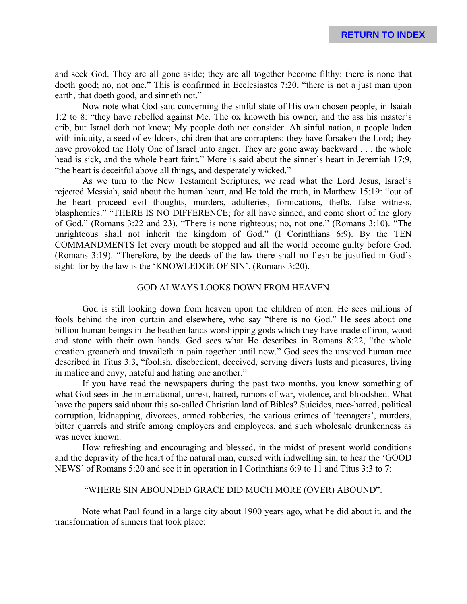and seek God. They are all gone aside; they are all together become filthy: there is none that doeth good; no, not one." This is confirmed in Ecclesiastes 7:20, "there is not a just man upon earth, that doeth good, and sinneth not."

Now note what God said concerning the sinful state of His own chosen people, in Isaiah 1:2 to 8: "they have rebelled against Me. The ox knoweth his owner, and the ass his master's crib, but Israel doth not know; My people doth not consider. Ah sinful nation, a people laden with iniquity, a seed of evildoers, children that are corrupters: they have forsaken the Lord; they have provoked the Holy One of Israel unto anger. They are gone away backward . . . the whole head is sick, and the whole heart faint." More is said about the sinner's heart in Jeremiah 17:9, "the heart is deceitful above all things, and desperately wicked."

As we turn to the New Testament Scriptures, we read what the Lord Jesus, Israel's rejected Messiah, said about the human heart, and He told the truth, in Matthew 15:19: "out of the heart proceed evil thoughts, murders, adulteries, fornications, thefts, false witness, blasphemies." "THERE IS NO DIFFERENCE; for all have sinned, and come short of the glory of God." (Romans 3:22 and 23). "There is none righteous; no, not one." (Romans 3:10). "The unrighteous shall not inherit the kingdom of God." (I Corinthians 6:9). By the TEN COMMANDMENTS let every mouth be stopped and all the world become guilty before God. (Romans 3:19). "Therefore, by the deeds of the law there shall no flesh be justified in God's sight: for by the law is the 'KNOWLEDGE OF SIN'. (Romans 3:20).

# GOD ALWAYS LOOKS DOWN FROM HEAVEN

God is still looking down from heaven upon the children of men. He sees millions of fools behind the iron curtain and elsewhere, who say "there is no God." He sees about one billion human beings in the heathen lands worshipping gods which they have made of iron, wood and stone with their own hands. God sees what He describes in Romans 8:22, "the whole creation groaneth and travaileth in pain together until now." God sees the unsaved human race described in Titus 3:3, "foolish, disobedient, deceived, serving divers lusts and pleasures, living in malice and envy, hateful and hating one another."

If you have read the newspapers during the past two months, you know something of what God sees in the international, unrest, hatred, rumors of war, violence, and bloodshed. What have the papers said about this so-called Christian land of Bibles? Suicides, race-hatred, political corruption, kidnapping, divorces, armed robberies, the various crimes of 'teenagers', murders, bitter quarrels and strife among employers and employees, and such wholesale drunkenness as was never known.

How refreshing and encouraging and blessed, in the midst of present world conditions and the depravity of the heart of the natural man, cursed with indwelling sin, to hear the 'GOOD NEWS' of Romans 5:20 and see it in operation in I Corinthians 6:9 to 11 and Titus 3:3 to 7:

#### "WHERE SIN ABOUNDED GRACE DID MUCH MORE (OVER) ABOUND".

Note what Paul found in a large city about 1900 years ago, what he did about it, and the transformation of sinners that took place: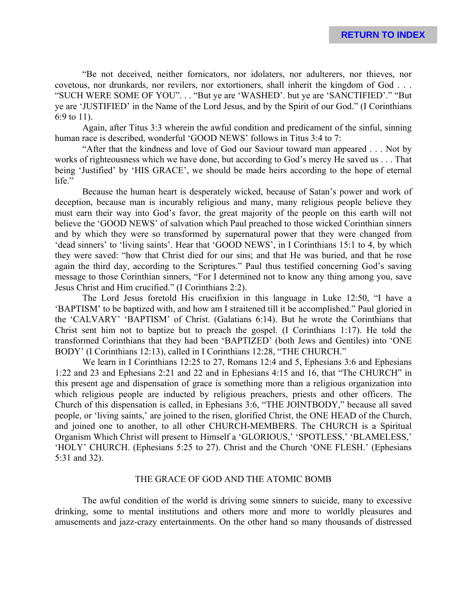"Be not deceived, neither fornicators, nor idolaters, nor adulterers, nor thieves, nor covetous, nor drunkards, nor revilers, nor extortioners, shall inherit the kingdom of God . . . "SUCH WERE SOME OF YOU". . . "But ye are 'WASHED'. but ye are 'SANCTIFIED'." "But ye are 'JUSTIFIED' in the Name of the Lord Jesus, and by the Spirit of our God." (I Corinthians 6:9 to 11).

Again, after Titus 3:3 wherein the awful condition and predicament of the sinful, sinning human race is described, wonderful 'GOOD NEWS' follows in Titus 3:4 to 7:

"After that the kindness and love of God our Saviour toward man appeared . . . Not by works of righteousness which we have done, but according to God's mercy He saved us . . . That being 'Justified' by 'HIS GRACE', we should be made heirs according to the hope of eternal life."

Because the human heart is desperately wicked, because of Satan's power and work of deception, because man is incurably religious and many, many religious people believe they must earn their way into God's favor, the great majority of the people on this earth will not believe the 'GOOD NEWS' of salvation which Paul preached to those wicked Corinthian sinners and by which they were so transformed by supernatural power that they were changed from 'dead sinners' to 'living saints'. Hear that 'GOOD NEWS', in I Corinthians 15:1 to 4, by which they were saved: "how that Christ died for our sins; and that He was buried, and that he rose again the third day, according to the Scriptures." Paul thus testified concerning God's saving message to those Corinthian sinners, "For I determined not to know any thing among you, save Jesus Christ and Him crucified." (I Corinthians 2:2).

The Lord Jesus foretold His crucifixion in this language in Luke 12:50, "I have a 'BAPTISM' to be baptized with, and how am I straitened till it be accomplished." Paul gloried in the 'CALVARY' 'BAPTISM' of Christ. (Galatians 6:14). But he wrote the Corinthians that Christ sent him not to baptize but to preach the gospel. (I Corinthians 1:17). He told the transformed Corinthians that they had been 'BAPTIZED' (both Jews and Gentiles) into 'ONE BODY' (I Corinthians 12:13), called in I Corinthians 12:28, "THE CHURCH."

We learn in I Corinthians 12:25 to 27, Romans 12:4 and 5, Ephesians 3:6 and Ephesians 1:22 and 23 and Ephesians 2:21 and 22 and in Ephesians 4:15 and 16, that "The CHURCH" in this present age and dispensation of grace is something more than a religious organization into which religious people are inducted by religious preachers, priests and other officers. The Church of this dispensation is called, in Ephesians 3:6, "THE JOINTBODY," because all saved people, or 'living saints,' are joined to the risen, glorified Christ, the ONE HEAD of the Church, and joined one to another, to all other CHURCH-MEMBERS. The CHURCH is a Spiritual Organism Which Christ will present to Himself a 'GLORIOUS,' 'SPOTLESS,' 'BLAMELESS,' 'HOLY' CHURCH. (Ephesians 5:25 to 27). Christ and the Church 'ONE FLESH.' (Ephesians 5:31 and 32).

## THE GRACE OF GOD AND THE ATOMIC BOMB

The awful condition of the world is driving some sinners to suicide, many to excessive drinking, some to mental institutions and others more and more to worldly pleasures and amusements and jazz-crazy entertainments. On the other hand so many thousands of distressed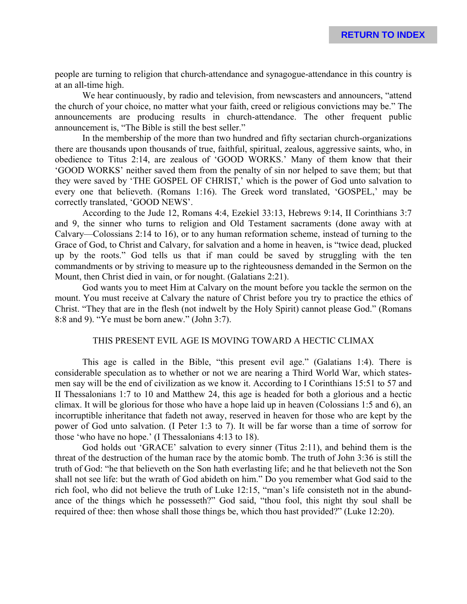people are turning to religion that church-attendance and synagogue-attendance in this country is at an all-time high.

We hear continuously, by radio and television, from newscasters and announcers, "attend the church of your choice, no matter what your faith, creed or religious convictions may be." The announcements are producing results in church-attendance. The other frequent public announcement is, "The Bible is still the best seller."

In the membership of the more than two hundred and fifty sectarian church-organizations there are thousands upon thousands of true, faithful, spiritual, zealous, aggressive saints, who, in obedience to Titus 2:14, are zealous of 'GOOD WORKS.' Many of them know that their 'GOOD WORKS' neither saved them from the penalty of sin nor helped to save them; but that they were saved by 'THE GOSPEL OF CHRIST,' which is the power of God unto salvation to every one that believeth. (Romans 1:16). The Greek word translated, 'GOSPEL,' may be correctly translated, 'GOOD NEWS'.

According to the Jude 12, Romans 4:4, Ezekiel 33:13, Hebrews 9:14, II Corinthians 3:7 and 9, the sinner who turns to religion and Old Testament sacraments (done away with at Calvary—Colossians 2:14 to 16), or to any human reformation scheme, instead of turning to the Grace of God, to Christ and Calvary, for salvation and a home in heaven, is "twice dead, plucked up by the roots." God tells us that if man could be saved by struggling with the ten commandments or by striving to measure up to the righteousness demanded in the Sermon on the Mount, then Christ died in vain, or for nought. (Galatians 2:21).

God wants you to meet Him at Calvary on the mount before you tackle the sermon on the mount. You must receive at Calvary the nature of Christ before you try to practice the ethics of Christ. "They that are in the flesh (not indwelt by the Holy Spirit) cannot please God." (Romans 8:8 and 9). "Ye must be born anew." (John 3:7).

#### THIS PRESENT EVIL AGE IS MOVING TOWARD A HECTIC CLIMAX

This age is called in the Bible, "this present evil age." (Galatians 1:4). There is considerable speculation as to whether or not we are nearing a Third World War, which statesmen say will be the end of civilization as we know it. According to I Corinthians 15:51 to 57 and II Thessalonians 1:7 to 10 and Matthew 24, this age is headed for both a glorious and a hectic climax. It will be glorious for those who have a hope laid up in heaven (Colossians 1:5 and 6), an incorruptible inheritance that fadeth not away, reserved in heaven for those who are kept by the power of God unto salvation. (I Peter 1:3 to 7). It will be far worse than a time of sorrow for those 'who have no hope.' (I Thessalonians 4:13 to 18).

God holds out 'GRACE' salvation to every sinner (Titus 2:11), and behind them is the threat of the destruction of the human race by the atomic bomb. The truth of John 3:36 is still the truth of God: "he that believeth on the Son hath everlasting life; and he that believeth not the Son shall not see life: but the wrath of God abideth on him." Do you remember what God said to the rich fool, who did not believe the truth of Luke 12:15, "man's life consisteth not in the abundance of the things which he possesseth?" God said, "thou fool, this night thy soul shall be required of thee: then whose shall those things be, which thou hast provided?" (Luke 12:20).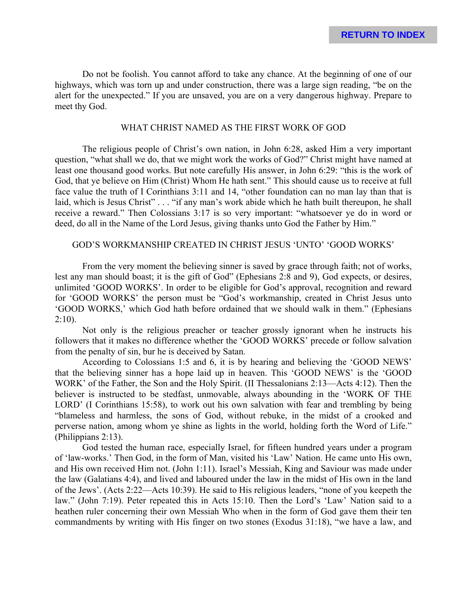Do not be foolish. You cannot afford to take any chance. At the beginning of one of our highways, which was torn up and under construction, there was a large sign reading, "be on the alert for the unexpected." If you are unsaved, you are on a very dangerous highway. Prepare to meet thy God.

# WHAT CHRIST NAMED AS THE FIRST WORK OF GOD

The religious people of Christ's own nation, in John 6:28, asked Him a very important question, "what shall we do, that we might work the works of God?" Christ might have named at least one thousand good works. But note carefully His answer, in John 6:29: "this is the work of God, that ye believe on Him (Christ) Whom He hath sent." This should cause us to receive at full face value the truth of I Corinthians 3:11 and 14, "other foundation can no man lay than that is laid, which is Jesus Christ" . . . "if any man's work abide which he hath built thereupon, he shall receive a reward." Then Colossians 3:17 is so very important: "whatsoever ye do in word or deed, do all in the Name of the Lord Jesus, giving thanks unto God the Father by Him."

# GOD'S WORKMANSHIP CREATED IN CHRIST JESUS 'UNTO' 'GOOD WORKS'

From the very moment the believing sinner is saved by grace through faith; not of works, lest any man should boast; it is the gift of God" (Ephesians 2:8 and 9), God expects, or desires, unlimited 'GOOD WORKS'. In order to be eligible for God's approval, recognition and reward for 'GOOD WORKS' the person must be "God's workmanship, created in Christ Jesus unto 'GOOD WORKS,' which God hath before ordained that we should walk in them." (Ephesians  $2:10$ ).

Not only is the religious preacher or teacher grossly ignorant when he instructs his followers that it makes no difference whether the 'GOOD WORKS' precede or follow salvation from the penalty of sin, bur he is deceived by Satan.

According to Colossians 1:5 and 6, it is by hearing and believing the 'GOOD NEWS' that the believing sinner has a hope laid up in heaven. This 'GOOD NEWS' is the 'GOOD WORK' of the Father, the Son and the Holy Spirit. (II Thessalonians 2:13—Acts 4:12). Then the believer is instructed to be stedfast, unmovable, always abounding in the 'WORK OF THE LORD' (I Corinthians 15:58), to work out his own salvation with fear and trembling by being "blameless and harmless, the sons of God, without rebuke, in the midst of a crooked and perverse nation, among whom ye shine as lights in the world, holding forth the Word of Life." (Philippians 2:13).

God tested the human race, especially Israel, for fifteen hundred years under a program of 'law-works.' Then God, in the form of Man, visited his 'Law' Nation. He came unto His own, and His own received Him not. (John 1:11). Israel's Messiah, King and Saviour was made under the law (Galatians 4:4), and lived and laboured under the law in the midst of His own in the land of the Jews'. (Acts 2:22—Acts 10:39). He said to His religious leaders, "none of you keepeth the law." (John 7:19). Peter repeated this in Acts 15:10. Then the Lord's 'Law' Nation said to a heathen ruler concerning their own Messiah Who when in the form of God gave them their ten commandments by writing with His finger on two stones (Exodus 31:18), "we have a law, and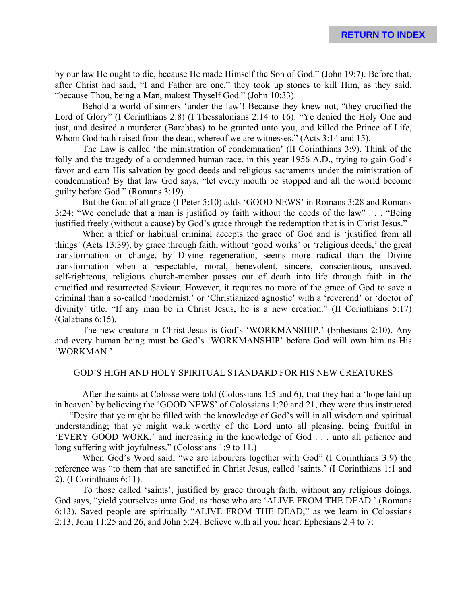by our law He ought to die, because He made Himself the Son of God." (John 19:7). Before that, after Christ had said, "I and Father are one," they took up stones to kill Him, as they said, "because Thou, being a Man, makest Thyself God." (John 10:33).

Behold a world of sinners 'under the law'! Because they knew not, "they crucified the Lord of Glory" (I Corinthians 2:8) (I Thessalonians 2:14 to 16). "Ye denied the Holy One and just, and desired a murderer (Barabbas) to be granted unto you, and killed the Prince of Life, Whom God hath raised from the dead, whereof we are witnesses." (Acts 3:14 and 15).

The Law is called 'the ministration of condemnation' (II Corinthians 3:9). Think of the folly and the tragedy of a condemned human race, in this year 1956 A.D., trying to gain God's favor and earn His salvation by good deeds and religious sacraments under the ministration of condemnation! By that law God says, "let every mouth be stopped and all the world become guilty before God." (Romans 3:19).

But the God of all grace (I Peter 5:10) adds 'GOOD NEWS' in Romans 3:28 and Romans 3:24: "We conclude that a man is justified by faith without the deeds of the law" . . . "Being justified freely (without a cause) by God's grace through the redemption that is in Christ Jesus."

When a thief or habitual criminal accepts the grace of God and is 'justified from all things' (Acts 13:39), by grace through faith, without 'good works' or 'religious deeds,' the great transformation or change, by Divine regeneration, seems more radical than the Divine transformation when a respectable, moral, benevolent, sincere, conscientious, unsaved, self-righteous, religious church-member passes out of death into life through faith in the crucified and resurrected Saviour. However, it requires no more of the grace of God to save a criminal than a so-called 'modernist,' or 'Christianized agnostic' with a 'reverend' or 'doctor of divinity' title. "If any man be in Christ Jesus, he is a new creation." (II Corinthians 5:17) (Galatians 6:15).

The new creature in Christ Jesus is God's 'WORKMANSHIP.' (Ephesians 2:10). Any and every human being must be God's 'WORKMANSHIP' before God will own him as His 'WORKMAN.'

#### GOD'S HIGH AND HOLY SPIRITUAL STANDARD FOR HIS NEW CREATURES

After the saints at Colosse were told (Colossians 1:5 and 6), that they had a 'hope laid up in heaven' by believing the 'GOOD NEWS' of Colossians 1:20 and 21, they were thus instructed . . . "Desire that ye might be filled with the knowledge of God's will in all wisdom and spiritual understanding; that ye might walk worthy of the Lord unto all pleasing, being fruitful in 'EVERY GOOD WORK,' and increasing in the knowledge of God . . . unto all patience and long suffering with joyfulness." (Colossians 1:9 to 11.)

When God's Word said, "we are labourers together with God" (I Corinthians 3:9) the reference was "to them that are sanctified in Christ Jesus, called 'saints.' (I Corinthians 1:1 and 2). (I Corinthians 6:11).

To those called 'saints', justified by grace through faith, without any religious doings, God says, "yield yourselves unto God, as those who are 'ALIVE FROM THE DEAD.' (Romans 6:13). Saved people are spiritually "ALIVE FROM THE DEAD," as we learn in Colossians 2:13, John 11:25 and 26, and John 5:24. Believe with all your heart Ephesians 2:4 to 7: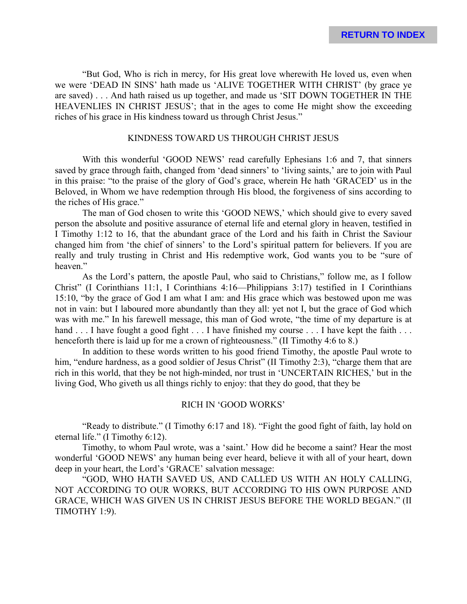"But God, Who is rich in mercy, for His great love wherewith He loved us, even when we were 'DEAD IN SINS' hath made us 'ALIVE TOGETHER WITH CHRIST' (by grace ye are saved) . . . And hath raised us up together, and made us 'SIT DOWN TOGETHER IN THE HEAVENLIES IN CHRIST JESUS'; that in the ages to come He might show the exceeding riches of his grace in His kindness toward us through Christ Jesus."

## KINDNESS TOWARD US THROUGH CHRIST JESUS

With this wonderful 'GOOD NEWS' read carefully Ephesians 1:6 and 7, that sinners saved by grace through faith, changed from 'dead sinners' to 'living saints,' are to join with Paul in this praise: "to the praise of the glory of God's grace, wherein He hath 'GRACED' us in the Beloved, in Whom we have redemption through His blood, the forgiveness of sins according to the riches of His grace."

The man of God chosen to write this 'GOOD NEWS,' which should give to every saved person the absolute and positive assurance of eternal life and eternal glory in heaven, testified in I Timothy 1:12 to 16, that the abundant grace of the Lord and his faith in Christ the Saviour changed him from 'the chief of sinners' to the Lord's spiritual pattern for believers. If you are really and truly trusting in Christ and His redemptive work, God wants you to be "sure of heaven."

As the Lord's pattern, the apostle Paul, who said to Christians," follow me, as I follow Christ" (I Corinthians 11:1, I Corinthians 4:16—Philippians 3:17) testified in I Corinthians 15:10, "by the grace of God I am what I am: and His grace which was bestowed upon me was not in vain: but I laboured more abundantly than they all: yet not I, but the grace of God which was with me." In his farewell message, this man of God wrote, "the time of my departure is at hand . . . I have fought a good fight . . . I have finished my course . . . I have kept the faith . . . henceforth there is laid up for me a crown of righteousness." (II Timothy 4:6 to 8.)

In addition to these words written to his good friend Timothy, the apostle Paul wrote to him, "endure hardness, as a good soldier of Jesus Christ" (II Timothy 2:3), "charge them that are rich in this world, that they be not high-minded, nor trust in 'UNCERTAIN RICHES,' but in the living God, Who giveth us all things richly to enjoy: that they do good, that they be

# RICH IN 'GOOD WORKS'

"Ready to distribute." (I Timothy 6:17 and 18). "Fight the good fight of faith, lay hold on eternal life." (I Timothy 6:12).

Timothy, to whom Paul wrote, was a 'saint.' How did he become a saint? Hear the most wonderful 'GOOD NEWS' any human being ever heard, believe it with all of your heart, down deep in your heart, the Lord's 'GRACE' salvation message:

"GOD, WHO HATH SAVED US, AND CALLED US WITH AN HOLY CALLING, NOT ACCORDING TO OUR WORKS, BUT ACCORDING TO HIS OWN PURPOSE AND GRACE, WHICH WAS GIVEN US IN CHRIST JESUS BEFORE THE WORLD BEGAN." (II TIMOTHY 1:9).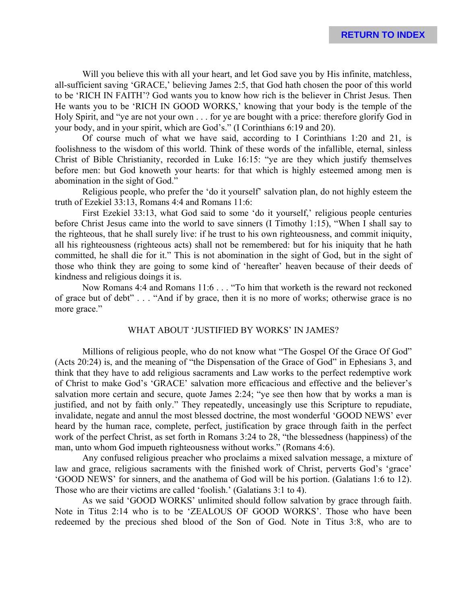Will you believe this with all your heart, and let God save you by His infinite, matchless, all-sufficient saving 'GRACE,' believing James 2:5, that God hath chosen the poor of this world to be 'RICH IN FAITH'? God wants you to know how rich is the believer in Christ Jesus. Then He wants you to be 'RICH IN GOOD WORKS,' knowing that your body is the temple of the Holy Spirit, and "ye are not your own . . . for ye are bought with a price: therefore glorify God in your body, and in your spirit, which are God's." (I Corinthians 6:19 and 20).

Of course much of what we have said, according to I Corinthians 1:20 and 21, is foolishness to the wisdom of this world. Think of these words of the infallible, eternal, sinless Christ of Bible Christianity, recorded in Luke 16:15: "ye are they which justify themselves before men: but God knoweth your hearts: for that which is highly esteemed among men is abomination in the sight of God."

Religious people, who prefer the 'do it yourself' salvation plan, do not highly esteem the truth of Ezekiel 33:13, Romans 4:4 and Romans 11:6:

First Ezekiel 33:13, what God said to some 'do it yourself,' religious people centuries before Christ Jesus came into the world to save sinners (I Timothy 1:15), "When I shall say to the righteous, that he shall surely live: if he trust to his own righteousness, and commit iniquity, all his righteousness (righteous acts) shall not be remembered: but for his iniquity that he hath committed, he shall die for it." This is not abomination in the sight of God, but in the sight of those who think they are going to some kind of 'hereafter' heaven because of their deeds of kindness and religious doings it is.

Now Romans 4:4 and Romans 11:6 . . . "To him that worketh is the reward not reckoned of grace but of debt" . . . "And if by grace, then it is no more of works; otherwise grace is no more grace."

#### WHAT ABOUT 'JUSTIFIED BY WORKS' IN JAMES?

Millions of religious people, who do not know what "The Gospel Of the Grace Of God" (Acts 20:24) is, and the meaning of "the Dispensation of the Grace of God" in Ephesians 3, and think that they have to add religious sacraments and Law works to the perfect redemptive work of Christ to make God's 'GRACE' salvation more efficacious and effective and the believer's salvation more certain and secure, quote James 2:24; "ye see then how that by works a man is justified, and not by faith only." They repeatedly, unceasingly use this Scripture to repudiate, invalidate, negate and annul the most blessed doctrine, the most wonderful 'GOOD NEWS' ever heard by the human race, complete, perfect, justification by grace through faith in the perfect work of the perfect Christ, as set forth in Romans 3:24 to 28, "the blessedness (happiness) of the man, unto whom God impueth righteousness without works." (Romans 4:6).

Any confused religious preacher who proclaims a mixed salvation message, a mixture of law and grace, religious sacraments with the finished work of Christ, perverts God's 'grace' 'GOOD NEWS' for sinners, and the anathema of God will be his portion. (Galatians 1:6 to 12). Those who are their victims are called 'foolish.' (Galatians 3:1 to 4).

As we said 'GOOD WORKS' unlimited should follow salvation by grace through faith. Note in Titus 2:14 who is to be 'ZEALOUS OF GOOD WORKS'. Those who have been redeemed by the precious shed blood of the Son of God. Note in Titus 3:8, who are to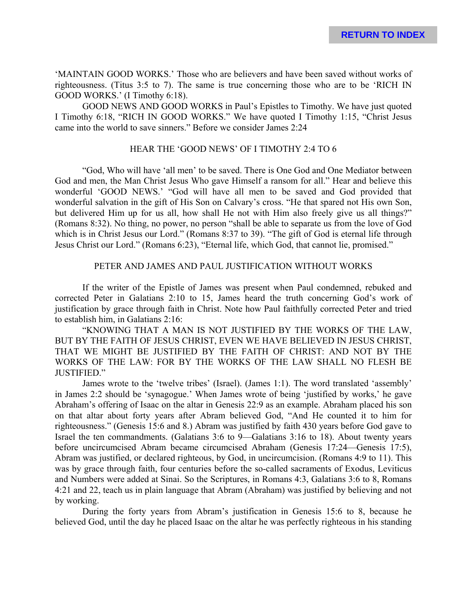'MAINTAIN GOOD WORKS.' Those who are believers and have been saved without works of righteousness. (Titus 3:5 to 7). The same is true concerning those who are to be 'RICH IN GOOD WORKS.' (I Timothy 6:18).

GOOD NEWS AND GOOD WORKS in Paul's Epistles to Timothy. We have just quoted I Timothy 6:18, "RICH IN GOOD WORKS." We have quoted I Timothy 1:15, "Christ Jesus came into the world to save sinners." Before we consider James 2:24

## HEAR THE 'GOOD NEWS' OF I TIMOTHY 2:4 TO 6

"God, Who will have 'all men' to be saved. There is One God and One Mediator between God and men, the Man Christ Jesus Who gave Himself a ransom for all." Hear and believe this wonderful 'GOOD NEWS.' "God will have all men to be saved and God provided that wonderful salvation in the gift of His Son on Calvary's cross. "He that spared not His own Son, but delivered Him up for us all, how shall He not with Him also freely give us all things?" (Romans 8:32). No thing, no power, no person "shall be able to separate us from the love of God which is in Christ Jesus our Lord." (Romans 8:37 to 39). "The gift of God is eternal life through Jesus Christ our Lord." (Romans 6:23), "Eternal life, which God, that cannot lie, promised."

### PETER AND JAMES AND PAUL JUSTIFICATION WITHOUT WORKS

If the writer of the Epistle of James was present when Paul condemned, rebuked and corrected Peter in Galatians 2:10 to 15, James heard the truth concerning God's work of justification by grace through faith in Christ. Note how Paul faithfully corrected Peter and tried to establish him, in Galatians 2:16:

"KNOWING THAT A MAN IS NOT JUSTIFIED BY THE WORKS OF THE LAW, BUT BY THE FAITH OF JESUS CHRIST, EVEN WE HAVE BELIEVED IN JESUS CHRIST, THAT WE MIGHT BE JUSTIFIED BY THE FAITH OF CHRIST: AND NOT BY THE WORKS OF THE LAW: FOR BY THE WORKS OF THE LAW SHALL NO FLESH BE JUSTIFIED."

James wrote to the 'twelve tribes' (Israel). (James 1:1). The word translated 'assembly' in James 2:2 should be 'synagogue.' When James wrote of being 'justified by works,' he gave Abraham's offering of Isaac on the altar in Genesis 22:9 as an example. Abraham placed his son on that altar about forty years after Abram believed God, "And He counted it to him for righteousness." (Genesis 15:6 and 8.) Abram was justified by faith 430 years before God gave to Israel the ten commandments. (Galatians 3:6 to 9—Galatians 3:16 to 18). About twenty years before uncircumcised Abram became circumcised Abraham (Genesis 17:24—Genesis 17:5), Abram was justified, or declared righteous, by God, in uncircumcision. (Romans 4:9 to 11). This was by grace through faith, four centuries before the so-called sacraments of Exodus, Leviticus and Numbers were added at Sinai. So the Scriptures, in Romans 4:3, Galatians 3:6 to 8, Romans 4:21 and 22, teach us in plain language that Abram (Abraham) was justified by believing and not by working.

During the forty years from Abram's justification in Genesis 15:6 to 8, because he believed God, until the day he placed Isaac on the altar he was perfectly righteous in his standing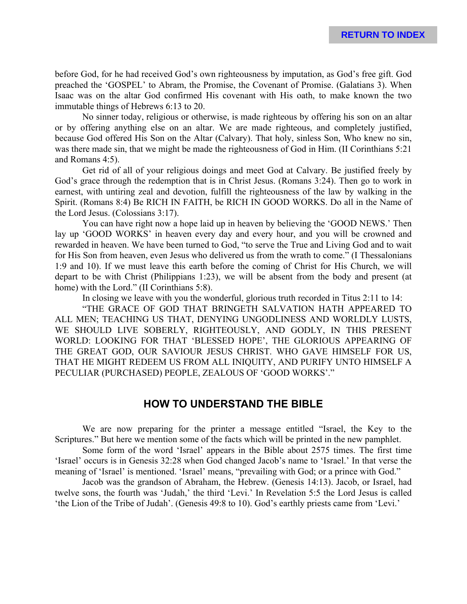before God, for he had received God's own righteousness by imputation, as God's free gift. God preached the 'GOSPEL' to Abram, the Promise, the Covenant of Promise. (Galatians 3). When Isaac was on the altar God confirmed His covenant with His oath, to make known the two immutable things of Hebrews 6:13 to 20.

No sinner today, religious or otherwise, is made righteous by offering his son on an altar or by offering anything else on an altar. We are made righteous, and completely justified, because God offered His Son on the Altar (Calvary). That holy, sinless Son, Who knew no sin, was there made sin, that we might be made the righteousness of God in Him. (II Corinthians 5:21 and Romans 4:5).

Get rid of all of your religious doings and meet God at Calvary. Be justified freely by God's grace through the redemption that is in Christ Jesus. (Romans 3:24). Then go to work in earnest, with untiring zeal and devotion, fulfill the righteousness of the law by walking in the Spirit. (Romans 8:4) Be RICH IN FAITH, be RICH IN GOOD WORKS. Do all in the Name of the Lord Jesus. (Colossians 3:17).

You can have right now a hope laid up in heaven by believing the 'GOOD NEWS.' Then lay up 'GOOD WORKS' in heaven every day and every hour, and you will be crowned and rewarded in heaven. We have been turned to God, "to serve the True and Living God and to wait for His Son from heaven, even Jesus who delivered us from the wrath to come." (I Thessalonians 1:9 and 10). If we must leave this earth before the coming of Christ for His Church, we will depart to be with Christ (Philippians 1:23), we will be absent from the body and present (at home) with the Lord." (II Corinthians 5:8).

In closing we leave with you the wonderful, glorious truth recorded in Titus 2:11 to 14:

"THE GRACE OF GOD THAT BRINGETH SALVATION HATH APPEARED TO ALL MEN; TEACHING US THAT, DENYING UNGODLINESS AND WORLDLY LUSTS, WE SHOULD LIVE SOBERLY, RIGHTEOUSLY, AND GODLY, IN THIS PRESENT WORLD: LOOKING FOR THAT 'BLESSED HOPE', THE GLORIOUS APPEARING OF THE GREAT GOD, OUR SAVIOUR JESUS CHRIST. WHO GAVE HIMSELF FOR US, THAT HE MIGHT REDEEM US FROM ALL INIQUITY, AND PURIFY UNTO HIMSELF A PECULIAR (PURCHASED) PEOPLE, ZEALOUS OF 'GOOD WORKS'."

# **HOW TO UNDERSTAND THE BIBLE**

We are now preparing for the printer a message entitled "Israel, the Key to the Scriptures." But here we mention some of the facts which will be printed in the new pamphlet.

Some form of the word 'Israel' appears in the Bible about 2575 times. The first time 'Israel' occurs is in Genesis 32:28 when God changed Jacob's name to 'Israel.' In that verse the meaning of 'Israel' is mentioned. 'Israel' means, "prevailing with God; or a prince with God."

Jacob was the grandson of Abraham, the Hebrew. (Genesis 14:13). Jacob, or Israel, had twelve sons, the fourth was 'Judah,' the third 'Levi.' In Revelation 5:5 the Lord Jesus is called 'the Lion of the Tribe of Judah'. (Genesis 49:8 to 10). God's earthly priests came from 'Levi.'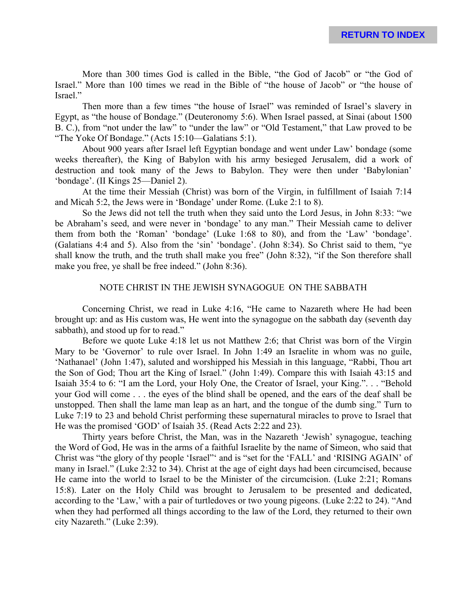More than 300 times God is called in the Bible, "the God of Jacob" or "the God of Israel." More than 100 times we read in the Bible of "the house of Jacob" or "the house of Israel."

Then more than a few times "the house of Israel" was reminded of Israel's slavery in Egypt, as "the house of Bondage." (Deuteronomy 5:6). When Israel passed, at Sinai (about 1500 B. C.), from "not under the law" to "under the law" or "Old Testament," that Law proved to be "The Yoke Of Bondage." (Acts 15:10—Galatians 5:1).

About 900 years after Israel left Egyptian bondage and went under Law' bondage (some weeks thereafter), the King of Babylon with his army besieged Jerusalem, did a work of destruction and took many of the Jews to Babylon. They were then under 'Babylonian' 'bondage'. (II Kings 25—Daniel 2).

At the time their Messiah (Christ) was born of the Virgin, in fulfillment of Isaiah 7:14 and Micah 5:2, the Jews were in 'Bondage' under Rome. (Luke 2:1 to 8).

So the Jews did not tell the truth when they said unto the Lord Jesus, in John 8:33: "we be Abraham's seed, and were never in 'bondage' to any man." Their Messiah came to deliver them from both the 'Roman' 'bondage' (Luke 1:68 to 80), and from the 'Law' 'bondage'. (Galatians 4:4 and 5). Also from the 'sin' 'bondage'. (John 8:34). So Christ said to them, "ye shall know the truth, and the truth shall make you free" (John 8:32), "if the Son therefore shall make you free, ye shall be free indeed." (John 8:36).

# NOTE CHRIST IN THE JEWISH SYNAGOGUE ON THE SABBATH

Concerning Christ, we read in Luke 4:16, "He came to Nazareth where He had been brought up: and as His custom was, He went into the synagogue on the sabbath day (seventh day sabbath), and stood up for to read."

Before we quote Luke 4:18 let us not Matthew 2:6; that Christ was born of the Virgin Mary to be 'Governor' to rule over Israel. In John 1:49 an Israelite in whom was no guile, 'Nathanael' (John 1:47), saluted and worshipped his Messiah in this language, "Rabbi, Thou art the Son of God; Thou art the King of Israel." (John 1:49). Compare this with Isaiah 43:15 and Isaiah 35:4 to 6: "I am the Lord, your Holy One, the Creator of Israel, your King.". . . "Behold your God will come . . . the eyes of the blind shall be opened, and the ears of the deaf shall be unstopped. Then shall the lame man leap as an hart, and the tongue of the dumb sing." Turn to Luke 7:19 to 23 and behold Christ performing these supernatural miracles to prove to Israel that He was the promised 'GOD' of Isaiah 35. (Read Acts 2:22 and 23).

Thirty years before Christ, the Man, was in the Nazareth 'Jewish' synagogue, teaching the Word of God, He was in the arms of a faithful Israelite by the name of Simeon, who said that Christ was "the glory of thy people 'Israel"' and is "set for the 'FALL' and 'RISING AGAIN' of many in Israel." (Luke 2:32 to 34). Christ at the age of eight days had been circumcised, because He came into the world to Israel to be the Minister of the circumcision. (Luke 2:21; Romans 15:8). Later on the Holy Child was brought to Jerusalem to be presented and dedicated, according to the 'Law,' with a pair of turtledoves or two young pigeons. (Luke 2:22 to 24). "And when they had performed all things according to the law of the Lord, they returned to their own city Nazareth." (Luke 2:39).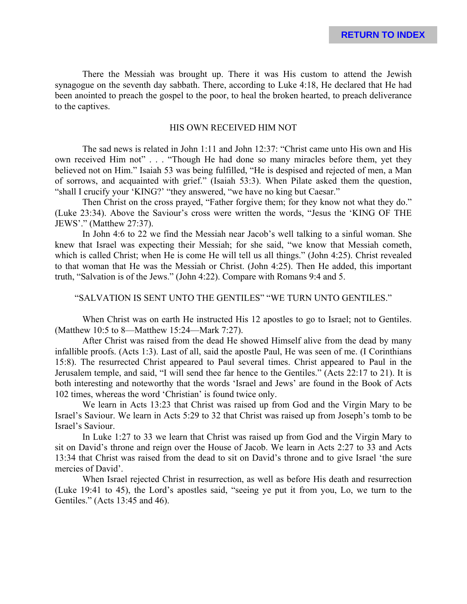There the Messiah was brought up. There it was His custom to attend the Jewish synagogue on the seventh day sabbath. There, according to Luke 4:18, He declared that He had been anointed to preach the gospel to the poor, to heal the broken hearted, to preach deliverance to the captives.

#### HIS OWN RECEIVED HIM NOT

The sad news is related in John 1:11 and John 12:37: "Christ came unto His own and His own received Him not" . . . "Though He had done so many miracles before them, yet they believed not on Him." Isaiah 53 was being fulfilled, "He is despised and rejected of men, a Man of sorrows, and acquainted with grief." (Isaiah 53:3). When Pilate asked them the question, "shall I crucify your 'KING?' "they answered, "we have no king but Caesar."

Then Christ on the cross prayed, "Father forgive them; for they know not what they do." (Luke 23:34). Above the Saviour's cross were written the words, "Jesus the 'KING OF THE JEWS'." (Matthew 27:37).

In John 4:6 to 22 we find the Messiah near Jacob's well talking to a sinful woman. She knew that Israel was expecting their Messiah; for she said, "we know that Messiah cometh, which is called Christ; when He is come He will tell us all things." (John 4:25). Christ revealed to that woman that He was the Messiah or Christ. (John 4:25). Then He added, this important truth, "Salvation is of the Jews." (John 4:22). Compare with Romans 9:4 and 5.

# "SALVATION IS SENT UNTO THE GENTILES" "WE TURN UNTO GENTILES."

When Christ was on earth He instructed His 12 apostles to go to Israel; not to Gentiles. (Matthew 10:5 to 8—Matthew 15:24—Mark 7:27).

After Christ was raised from the dead He showed Himself alive from the dead by many infallible proofs. (Acts 1:3). Last of all, said the apostle Paul, He was seen of me. (I Corinthians 15:8). The resurrected Christ appeared to Paul several times. Christ appeared to Paul in the Jerusalem temple, and said, "I will send thee far hence to the Gentiles." (Acts 22:17 to 21). It is both interesting and noteworthy that the words 'Israel and Jews' are found in the Book of Acts 102 times, whereas the word 'Christian' is found twice only.

We learn in Acts 13:23 that Christ was raised up from God and the Virgin Mary to be Israel's Saviour. We learn in Acts 5:29 to 32 that Christ was raised up from Joseph's tomb to be Israel's Saviour.

In Luke 1:27 to 33 we learn that Christ was raised up from God and the Virgin Mary to sit on David's throne and reign over the House of Jacob. We learn in Acts 2:27 to 33 and Acts 13:34 that Christ was raised from the dead to sit on David's throne and to give Israel 'the sure mercies of David'.

When Israel rejected Christ in resurrection, as well as before His death and resurrection (Luke 19:41 to 45), the Lord's apostles said, "seeing ye put it from you, Lo, we turn to the Gentiles." (Acts 13:45 and 46).